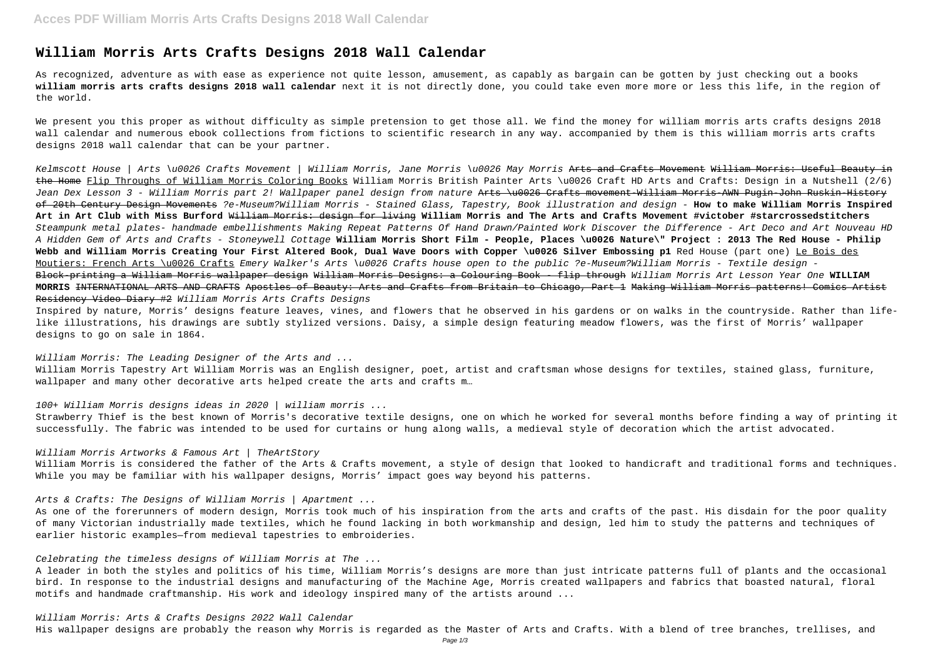# **William Morris Arts Crafts Designs 2018 Wall Calendar**

As recognized, adventure as with ease as experience not quite lesson, amusement, as capably as bargain can be gotten by just checking out a books **william morris arts crafts designs 2018 wall calendar** next it is not directly done, you could take even more more or less this life, in the region of the world.

We present you this proper as without difficulty as simple pretension to get those all. We find the money for william morris arts crafts designs 2018 wall calendar and numerous ebook collections from fictions to scientific research in any way. accompanied by them is this william morris arts crafts designs 2018 wall calendar that can be your partner.

Kelmscott House | Arts \u0026 Crafts Movement | William Morris, Jane Morris \u0026 May Morris <del>Arts and Crafts Movement William Morris: Useful Beauty in</del> the Home Flip Throughs of William Morris Coloring Books William Morris British Painter Arts \u0026 Craft HD Arts and Crafts: Design in a Nutshell (2/6) Jean Dex Lesson 3 - William Morris part 2! Wallpaper panel design from nature Arts \u0026 Crafts movement William Morris AWN Pugin-John Ruskin-History of 20th Century Design Movements ?e-Museum?William Morris - Stained Glass, Tapestry, Book illustration and design - **How to make William Morris Inspired Art in Art Club with Miss Burford** William Morris: design for living **William Morris and The Arts and Crafts Movement #victober #starcrossedstitchers** Steampunk metal plates- handmade embellishments Making Repeat Patterns Of Hand Drawn/Painted Work Discover the Difference - Art Deco and Art Nouveau HD A Hidden Gem of Arts and Crafts - Stoneywell Cottage **William Morris Short Film - People, Places \u0026 Nature\" Project : 2013 The Red House - Philip Webb and William Morris Creating Your First Altered Book, Dual Wave Doors with Copper \u0026 Silver Embossing p1** Red House (part one) Le Bois des Moutiers: French Arts \u0026 Crafts Emery Walker's Arts \u0026 Crafts house open to the public ?e-Museum?William Morris - Textile design -Block-printing a William Morris wallpaper design William Morris Designs: a Colouring Book - flip through William Morris Art Lesson Year One **WILLIAM MORRIS** INTERNATIONAL ARTS AND CRAFTS Apostles of Beauty: Arts and Crafts from Britain to Chicago, Part 1 Making William Morris patterns! Comics Artist Residency Video Diary #2 William Morris Arts Crafts Designs

William Morris: The Leading Designer of the Arts and ... William Morris Tapestry Art William Morris was an English designer, poet, artist and craftsman whose designs for textiles, stained glass, furniture, wallpaper and many other decorative arts helped create the arts and crafts m...

Inspired by nature, Morris' designs feature leaves, vines, and flowers that he observed in his gardens or on walks in the countryside. Rather than lifelike illustrations, his drawings are subtly stylized versions. Daisy, a simple design featuring meadow flowers, was the first of Morris' wallpaper designs to go on sale in 1864.

## 100+ William Morris designs ideas in 2020 | william morris ...

Strawberry Thief is the best known of Morris's decorative textile designs, one on which he worked for several months before finding a way of printing it successfully. The fabric was intended to be used for curtains or hung along walls, a medieval style of decoration which the artist advocated.

## William Morris Artworks & Famous Art | TheArtStory

William Morris is considered the father of the Arts & Crafts movement, a style of design that looked to handicraft and traditional forms and techniques. While you may be familiar with his wallpaper designs, Morris' impact goes way beyond his patterns.

## Arts & Crafts: The Designs of William Morris | Apartment ...

As one of the forerunners of modern design, Morris took much of his inspiration from the arts and crafts of the past. His disdain for the poor quality of many Victorian industrially made textiles, which he found lacking in both workmanship and design, led him to study the patterns and techniques of earlier historic examples—from medieval tapestries to embroideries.

# Celebrating the timeless designs of William Morris at The ...

A leader in both the styles and politics of his time, William Morris's designs are more than just intricate patterns full of plants and the occasional bird. In response to the industrial designs and manufacturing of the Machine Age, Morris created wallpapers and fabrics that boasted natural, floral motifs and handmade craftmanship. His work and ideology inspired many of the artists around ...

# William Morris: Arts & Crafts Designs 2022 Wall Calendar

His wallpaper designs are probably the reason why Morris is regarded as the Master of Arts and Crafts. With a blend of tree branches, trellises, and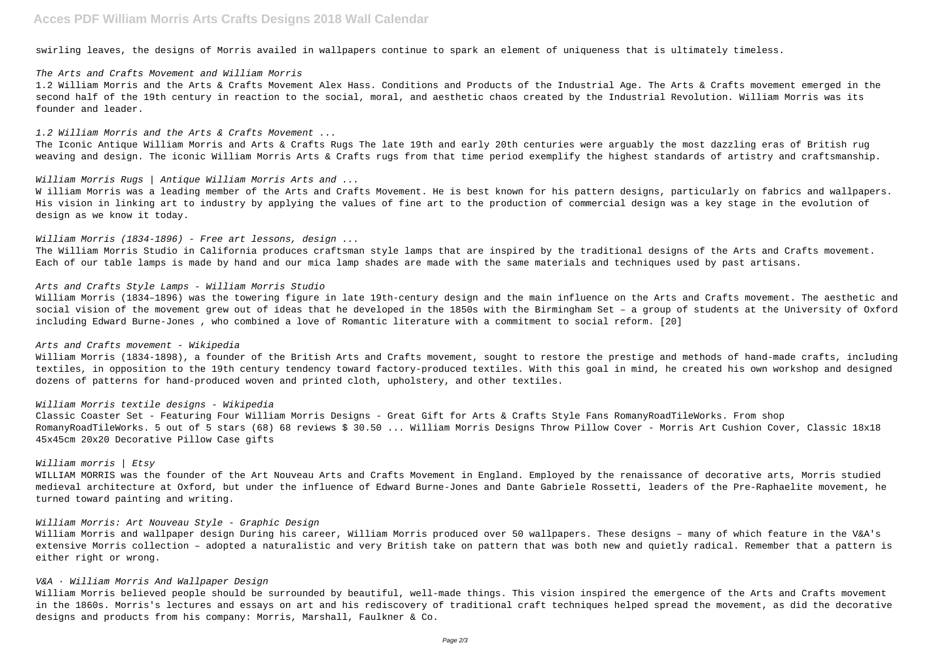# **Acces PDF William Morris Arts Crafts Designs 2018 Wall Calendar**

swirling leaves, the designs of Morris availed in wallpapers continue to spark an element of uniqueness that is ultimately timeless.

#### The Arts and Crafts Movement and William Morris

1.2 William Morris and the Arts & Crafts Movement Alex Hass. Conditions and Products of the Industrial Age. The Arts & Crafts movement emerged in the second half of the 19th century in reaction to the social, moral, and aesthetic chaos created by the Industrial Revolution. William Morris was its founder and leader.

#### 1.2 William Morris and the Arts & Crafts Movement ...

W illiam Morris was a leading member of the Arts and Crafts Movement. He is best known for his pattern designs, particularly on fabrics and wallpapers. His vision in linking art to industry by applying the values of fine art to the production of commercial design was a key stage in the evolution of design as we know it today.

# William Morris (1834-1896) - Free art lessons, design ...

The Iconic Antique William Morris and Arts & Crafts Rugs The late 19th and early 20th centuries were arguably the most dazzling eras of British rug weaving and design. The iconic William Morris Arts & Crafts rugs from that time period exemplify the highest standards of artistry and craftsmanship.

## William Morris Rugs | Antique William Morris Arts and ...

The William Morris Studio in California produces craftsman style lamps that are inspired by the traditional designs of the Arts and Crafts movement. Each of our table lamps is made by hand and our mica lamp shades are made with the same materials and techniques used by past artisans.

# Arts and Crafts Style Lamps - William Morris Studio

William Morris (1834–1896) was the towering figure in late 19th-century design and the main influence on the Arts and Crafts movement. The aesthetic and social vision of the movement grew out of ideas that he developed in the 1850s with the Birmingham Set – a group of students at the University of Oxford including Edward Burne-Jones , who combined a love of Romantic literature with a commitment to social reform. [20]

## Arts and Crafts movement - Wikipedia

William Morris (1834-1898), a founder of the British Arts and Crafts movement, sought to restore the prestige and methods of hand-made crafts, including textiles, in opposition to the 19th century tendency toward factory-produced textiles. With this goal in mind, he created his own workshop and designed dozens of patterns for hand-produced woven and printed cloth, upholstery, and other textiles.

# William Morris textile designs - Wikipedia

Classic Coaster Set - Featuring Four William Morris Designs - Great Gift for Arts & Crafts Style Fans RomanyRoadTileWorks. From shop RomanyRoadTileWorks. 5 out of 5 stars (68) 68 reviews \$ 30.50 ... William Morris Designs Throw Pillow Cover - Morris Art Cushion Cover, Classic 18x18 45x45cm 20x20 Decorative Pillow Case gifts

#### William morris | Etsy

WILLIAM MORRIS was the founder of the Art Nouveau Arts and Crafts Movement in England. Employed by the renaissance of decorative arts, Morris studied medieval architecture at Oxford, but under the influence of Edward Burne-Jones and Dante Gabriele Rossetti, leaders of the Pre-Raphaelite movement, he turned toward painting and writing.

# William Morris: Art Nouveau Style - Graphic Design

William Morris and wallpaper design During his career, William Morris produced over 50 wallpapers. These designs – many of which feature in the V&A's extensive Morris collection – adopted a naturalistic and very British take on pattern that was both new and quietly radical. Remember that a pattern is either right or wrong.

# V&A · William Morris And Wallpaper Design

William Morris believed people should be surrounded by beautiful, well-made things. This vision inspired the emergence of the Arts and Crafts movement in the 1860s. Morris's lectures and essays on art and his rediscovery of traditional craft techniques helped spread the movement, as did the decorative designs and products from his company: Morris, Marshall, Faulkner & Co.